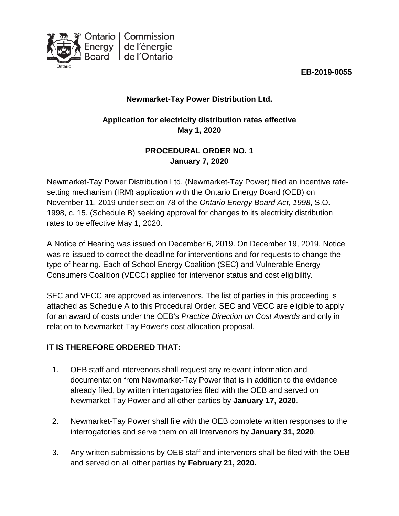

**EB-2019-0055**

## **Newmarket-Tay Power Distribution Ltd.**

## **Application for electricity distribution rates effective May 1, 2020**

## **PROCEDURAL ORDER NO. 1 January 7, 2020**

Newmarket-Tay Power Distribution Ltd. (Newmarket-Tay Power) filed an incentive ratesetting mechanism (IRM) application with the Ontario Energy Board (OEB) on November 11, 2019 under section 78 of the *Ontario Energy Board Act*, *1998*, S.O. 1998, c. 15, (Schedule B) seeking approval for changes to its electricity distribution rates to be effective May 1, 2020.

A Notice of Hearing was issued on December 6, 2019. On December 19, 2019, Notice was re-issued to correct the deadline for interventions and for requests to change the type of hearing*.* Each of School Energy Coalition (SEC) and Vulnerable Energy Consumers Coalition (VECC) applied for intervenor status and cost eligibility.

SEC and VECC are approved as intervenors. The list of parties in this proceeding is attached as Schedule A to this Procedural Order. SEC and VECC are eligible to apply for an award of costs under the OEB's *Practice Direction on Cost Awards* and only in relation to Newmarket-Tay Power's cost allocation proposal.

## **IT IS THEREFORE ORDERED THAT:**

- 1. OEB staff and intervenors shall request any relevant information and documentation from Newmarket-Tay Power that is in addition to the evidence already filed, by written interrogatories filed with the OEB and served on Newmarket-Tay Power and all other parties by **January 17, 2020**.
- 2. Newmarket-Tay Power shall file with the OEB complete written responses to the interrogatories and serve them on all Intervenors by **January 31, 2020**.
- 3. Any written submissions by OEB staff and intervenors shall be filed with the OEB and served on all other parties by **February 21, 2020.**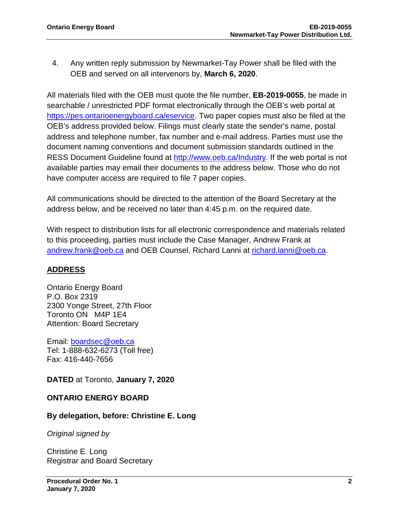4. Any written reply submission by Newmarket-Tay Power shall be filed with the OEB and served on all intervenors by, **March 6, 2020**.

All materials filed with the OEB must quote the file number, **EB-2019-0055**, be made in searchable / unrestricted PDF format electronically through the OEB's web portal at [https://pes.ontarioenergyboard.ca/eservice.](https://pes.ontarioenergyboard.ca/eservice) Two paper copies must also be filed at the OEB's address provided below. Filings must clearly state the sender's name, postal address and telephone number, fax number and e-mail address. Parties must use the document naming conventions and document submission standards outlined in the RESS Document Guideline found at [http://www.oeb.ca/Industry.](http://www.oeb.ca/OEB/Industry) If the web portal is not available parties may email their documents to the address below. Those who do not have computer access are required to file 7 paper copies.

All communications should be directed to the attention of the Board Secretary at the address below, and be received no later than 4:45 p.m. on the required date.

With respect to distribution lists for all electronic correspondence and materials related to this proceeding, parties must include the Case Manager, Andrew Frank at [andrew.frank@oeb.ca](mailto:andrew.frank@oeb.ca) and OEB Counsel, Richard Lanni at [richard.lanni@oeb.ca.](mailto:richard.lanni@oeb.ca)

#### **ADDRESS**

Ontario Energy Board P.O. Box 2319 2300 Yonge Street, 27th Floor Toronto ON M4P 1E4 Attention: Board Secretary

Email: [boardsec@oeb.ca](mailto:boardsec@oeb.ca) Tel: 1-888-632-6273 (Toll free) Fax: 416-440-7656

**DATED** at Toronto, **January 7, 2020**

#### **ONTARIO ENERGY BOARD**

#### **By delegation, before: Christine E. Long**

*Original signed by*

Christine E. Long Registrar and Board Secretary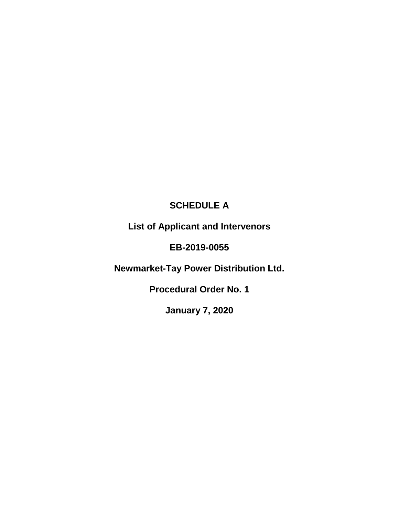# **SCHEDULE A**

**List of Applicant and Intervenors**

## **EB-2019-0055**

**Newmarket-Tay Power Distribution Ltd.**

**Procedural Order No. 1**

**January 7, 2020**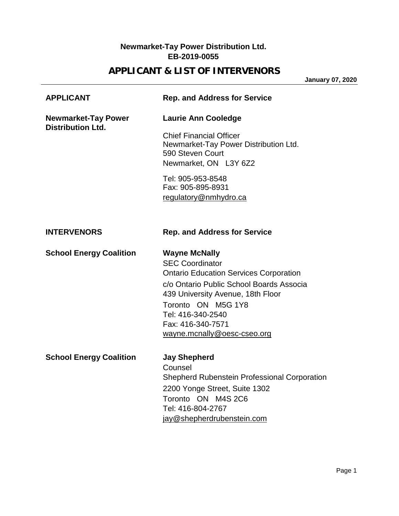### **Newmarket-Tay Power Distribution Ltd. EB-2019-0055**

## **APPLICANT & LIST OF INTERVENORS**

**January 07, 2020**

| <b>APPLICANT</b>                                       | <b>Rep. and Address for Service</b>                                                                                                                                                                                                                                             |
|--------------------------------------------------------|---------------------------------------------------------------------------------------------------------------------------------------------------------------------------------------------------------------------------------------------------------------------------------|
| <b>Newmarket-Tay Power</b><br><b>Distribution Ltd.</b> | <b>Laurie Ann Cooledge</b>                                                                                                                                                                                                                                                      |
|                                                        | <b>Chief Financial Officer</b><br>Newmarket-Tay Power Distribution Ltd.<br>590 Steven Court<br>Newmarket, ON L3Y 6Z2                                                                                                                                                            |
|                                                        | Tel: 905-953-8548<br>Fax: 905-895-8931<br>regulatory@nmhydro.ca                                                                                                                                                                                                                 |
| <b>INTERVENORS</b>                                     | <b>Rep. and Address for Service</b>                                                                                                                                                                                                                                             |
| <b>School Energy Coalition</b>                         | <b>Wayne McNally</b><br><b>SEC Coordinator</b><br><b>Ontario Education Services Corporation</b><br>c/o Ontario Public School Boards Associa<br>439 University Avenue, 18th Floor<br>Toronto ON M5G 1Y8<br>Tel: 416-340-2540<br>Fax: 416-340-7571<br>wayne.mcnally@oesc-cseo.org |
| <b>School Energy Coalition</b>                         | <b>Jay Shepherd</b><br>Counsel<br><b>Shepherd Rubenstein Professional Corporation</b><br>2200 Yonge Street, Suite 1302<br>Toronto ON M4S 2C6<br>Tel: 416-804-2767<br>jay@shepherdrubenstein.com                                                                                 |